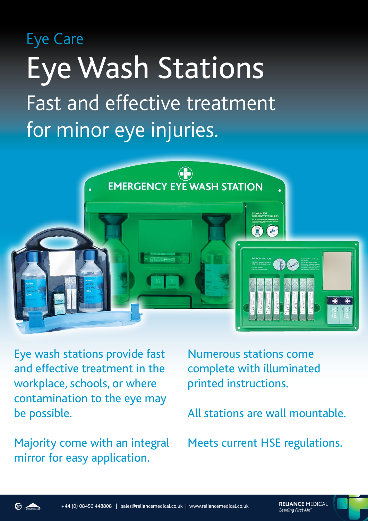# Eye Care Eye Wash Stations Fast and effective treatment for minor eye injuries.



Eye wash stations provide fast and effective treatment in the workplace, schools, or where contamination to the eye may be possible.

Majority come with an integral mirror for easy application.

Numerous stations come complete with illuminated printed instructions.

All stations are wall mountable.

Meets current HSE regulations.